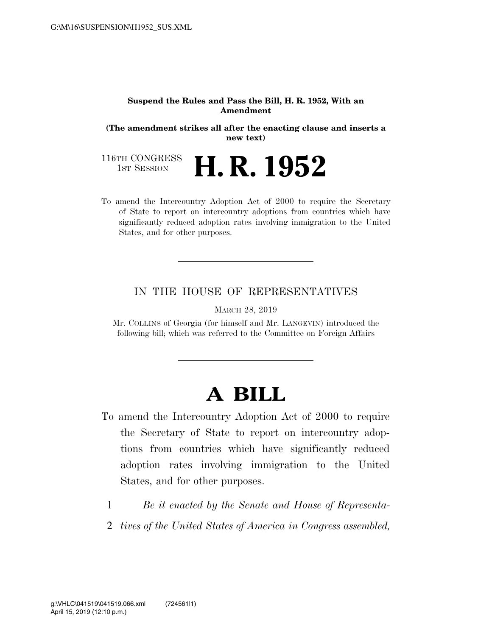## **Suspend the Rules and Pass the Bill, H. R. 1952, With an Amendment**

**(The amendment strikes all after the enacting clause and inserts a new text)** 

116TH CONGRESS<br>1st Session H. R. 1952

To amend the Intercountry Adoption Act of 2000 to require the Secretary of State to report on intercountry adoptions from countries which have significantly reduced adoption rates involving immigration to the United States, and for other purposes.

## IN THE HOUSE OF REPRESENTATIVES

MARCH 28, 2019

Mr. COLLINS of Georgia (for himself and Mr. LANGEVIN) introduced the following bill; which was referred to the Committee on Foreign Affairs

## **A BILL**

- To amend the Intercountry Adoption Act of 2000 to require the Secretary of State to report on intercountry adoptions from countries which have significantly reduced adoption rates involving immigration to the United States, and for other purposes.
	- 1 *Be it enacted by the Senate and House of Representa-*
	- 2 *tives of the United States of America in Congress assembled,*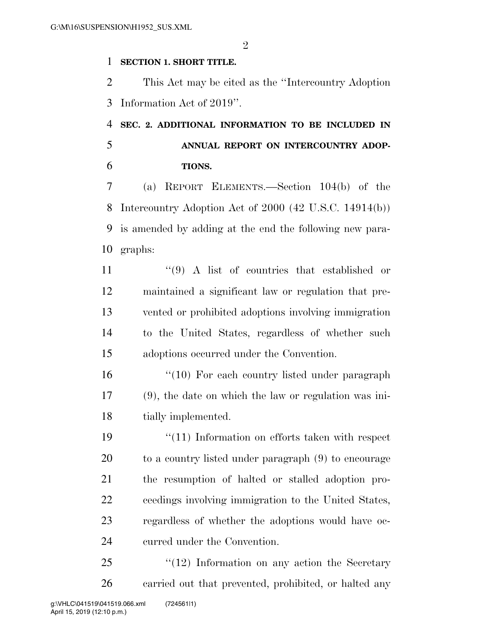$\mathfrak{D}$ 

## **SECTION 1. SHORT TITLE.**

 This Act may be cited as the ''Intercountry Adoption Information Act of 2019''.

 **SEC. 2. ADDITIONAL INFORMATION TO BE INCLUDED IN ANNUAL REPORT ON INTERCOUNTRY ADOP-TIONS.** 

 (a) REPORT ELEMENTS.—Section 104(b) of the Intercountry Adoption Act of 2000 (42 U.S.C. 14914(b)) is amended by adding at the end the following new para-graphs:

11 ''(9) A list of countries that established or maintained a significant law or regulation that pre- vented or prohibited adoptions involving immigration to the United States, regardless of whether such adoptions occurred under the Convention.

16 ''(10) For each country listed under paragraph (9), the date on which the law or regulation was ini-18 tially implemented.

19 ''(11) Information on efforts taken with respect to a country listed under paragraph (9) to encourage the resumption of halted or stalled adoption pro- ceedings involving immigration to the United States, regardless of whether the adoptions would have oc-curred under the Convention.

25 "(12) Information on any action the Secretary carried out that prevented, prohibited, or halted any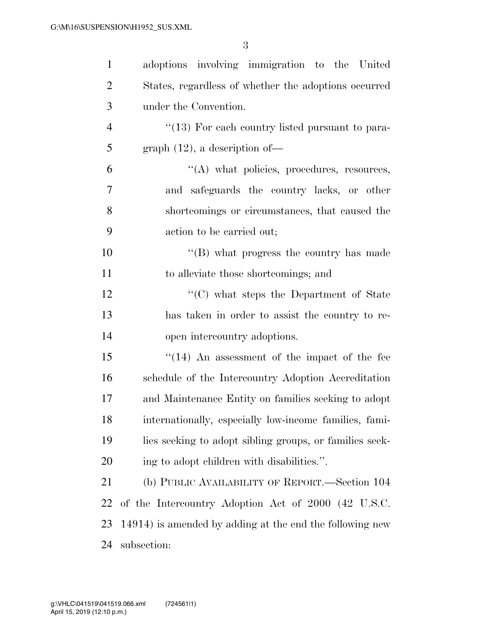| $\mathbf{1}$   | adoptions involving immigration to the United            |
|----------------|----------------------------------------------------------|
| $\overline{2}$ | States, regardless of whether the adoptions occurred     |
| 3              | under the Convention.                                    |
| $\overline{4}$ | "(13) For each country listed pursuant to para-          |
| 5              | graph $(12)$ , a description of-                         |
| 6              | $\lq\lq$ what policies, procedures, resources,           |
| $\overline{7}$ | and safeguards the country lacks, or other               |
| 8              | shortcomings or circumstances, that caused the           |
| 9              | action to be carried out;                                |
| 10             | $\lq\lq$ (B) what progress the country has made          |
| 11             | to alleviate those shortcomings; and                     |
| 12             | "(C) what steps the Department of State                  |
| 13             | has taken in order to assist the country to re-          |
| 14             | open intercountry adoptions.                             |
| 15             | $\cdot$ (14) An assessment of the impact of the fee      |
| 16             | schedule of the Intercountry Adoption Accreditation      |
| 17             | and Maintenance Entity on families seeking to adopt      |
| 18             | internationally, especially low-income families, fami-   |
| 19             | lies seeking to adopt sibling groups, or families seek-  |
| 20             | ing to adopt children with disabilities.".               |
| 21             | (b) PUBLIC AVAILABILITY OF REPORT.—Section 104           |
| 22             | of the Intercountry Adoption Act of 2000 (42 U.S.C.      |
| 23             | 14914) is amended by adding at the end the following new |
| 24             | subsection:                                              |